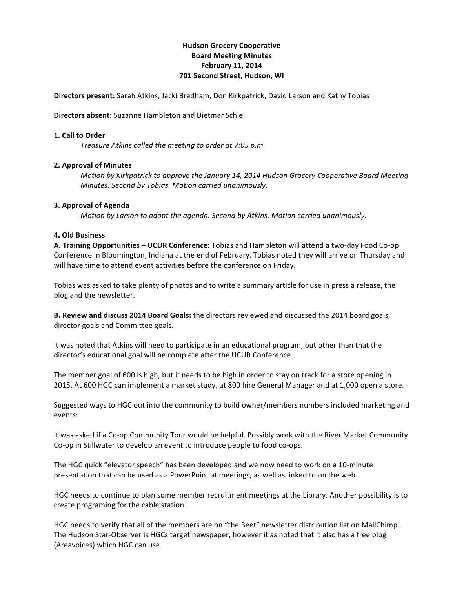# **Hudson'Grocery'Cooperative Board'Meeting'Minutes February 11, 2014 701 Second Street, Hudson, WI**

**Directors present:** Sarah Atkins, Jacki Bradham, Don Kirkpatrick, David Larson and Kathy Tobias

### **Directors absent:** Suzanne Hambleton and Dietmar Schlei

### **1. Call to Order**

*Treasure Atkins called the meeting to order at 7:05 p.m.* 

## **2. Approval of Minutes**

*Motion by Kirkpatrick to approve the January 14, 2014 Hudson Grocery Cooperative Board Meeting Minutes. Second by Tobias. Motion carried unanimously.* 

## **3. Approval of Agenda**

*Motion by Larson to adopt the agenda. Second by Atkins. Motion carried unanimously.* 

## **4. Old'Business**

**A. Training Opportunities – UCUR Conference:** Tobias and Hambleton will attend a two-day Food Co-op Conference in Bloomington, Indiana at the end of February. Tobias noted they will arrive on Thursday and will have time to attend event activities before the conference on Friday.

Tobias was asked to take plenty of photos and to write a summary article for use in press a release, the blog and the newsletter.

**B. Review and discuss 2014 Board Goals:** the directors reviewed and discussed the 2014 board goals, director goals and Committee goals.

It was noted that Atkins will need to participate in an educational program, but other than that the director's educational goal will be complete after the UCUR Conference.

The member goal of 600 is high, but it needs to be high in order to stay on track for a store opening in 2015. At 600 HGC can implement a market study, at 800 hire General Manager and at 1,000 open a store.

Suggested ways to HGC out into the community to build owner/members numbers included marketing and events:

It was asked if a Co-op Community Tour would be helpful. Possibly work with the River Market Community Co-op in Stillwater to develop an event to introduce people to food co-ops.

The HGC quick "elevator speech" has been developed and we now need to work on a 10-minute presentation that can be used as a PowerPoint at meetings, as well as linked to on the web.

HGC needs to continue to plan some member recruitment meetings at the Library. Another possibility is to create programing for the cable station.

HGC needs to verify that all of the members are on "the Beet" newsletter distribution list on MailChimp. The Hudson Star-Observer is HGCs target newspaper, however it as noted that it also has a free blog (Areavoices) which HGC can use.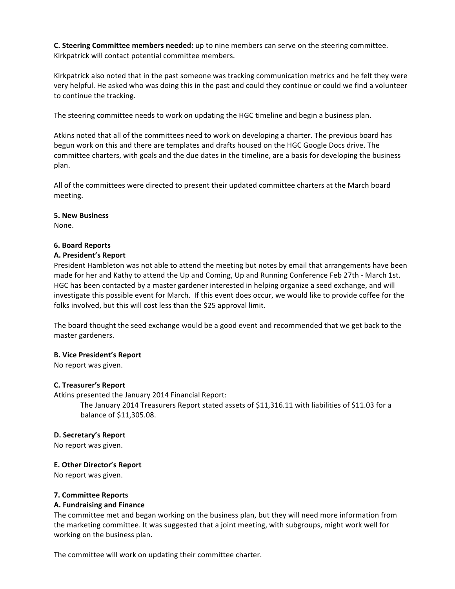**C. Steering Committee members needed:** up to nine members can serve on the steering committee. Kirkpatrick will contact potential committee members.

Kirkpatrick also noted that in the past someone was tracking communication metrics and he felt they were very helpful. He asked who was doing this in the past and could they continue or could we find a volunteer to continue the tracking.

The steering committee needs to work on updating the HGC timeline and begin a business plan.

Atkins noted that all of the committees need to work on developing a charter. The previous board has begun work on this and there are templates and drafts housed on the HGC Google Docs drive. The committee charters, with goals and the due dates in the timeline, are a basis for developing the business plan.

All of the committees were directed to present their updated committee charters at the March board meeting.

### **5.'New'Business'**

None.

### **6.'Board'Reports**

## **A.'President's'Report**

President Hambleton was not able to attend the meeting but notes by email that arrangements have been made for her and Kathy to attend the Up and Coming, Up and Running Conference Feb 27th - March 1st. HGC has been contacted by a master gardener interested in helping organize a seed exchange, and will investigate this possible event for March. If this event does occur, we would like to provide coffee for the folks involved, but this will cost less than the \$25 approval limit.

The board thought the seed exchange would be a good event and recommended that we get back to the master gardeners.

### **B.'Vice'President's Report**

No report was given.

## **C.'Treasurer's'Report**

Atkins presented the January 2014 Financial Report:

The January 2014 Treasurers Report stated assets of \$11,316.11 with liabilities of \$11.03 for a balance of \$11,305.08.

### **D. Secretary's Report**

No report was given.

### **E. Other Director's Report**

No report was given.

### **7.'Committee'Reports**

### **A.'Fundraising and'Finance'**

The committee met and began working on the business plan, but they will need more information from the marketing committee. It was suggested that a joint meeting, with subgroups, might work well for working on the business plan.

The committee will work on updating their committee charter.